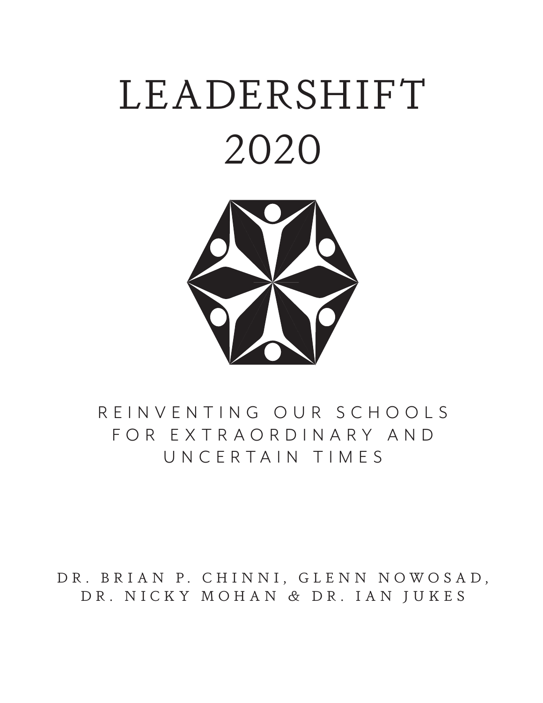# LEADERSHIFT 2020



## R E I N V E N T I N G O U R S C H O O L S F O R E X T R A O R D I N A R Y A N D UNCERTAIN TIMES

DR. BRIAN P. CHINNI, GLENN NOWOSAD, DR. NICKY MOHAN & DR. IAN JUKES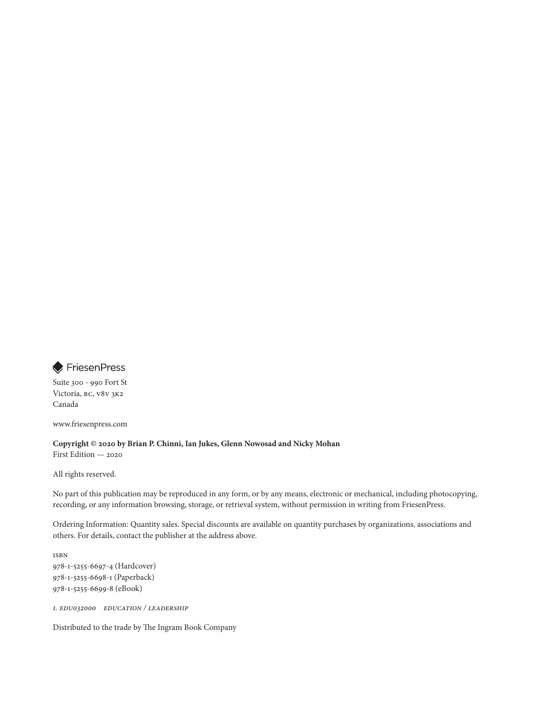

Suite 300 - 990 Fort St Victoria, BC, V8V 3K2 Canada

www.friesenpress.com

**Copyright © 2020 by Brian P. Chinni, Ian Jukes, Glenn Nowosad and Nicky Mohan** 

First Edition — 2020

All rights reserved.

No part of this publication may be reproduced in any form, or by any means, electronic or mechanical, including photocopying, recording, or any information browsing, storage, or retrieval system, without permission in writing from FriesenPress.

Ordering Information: Quantity sales. Special discounts are available on quantity purchases by organizations, associations and others. For details, contact the publisher at the address above.

ISBN 978-1-5255-6697-4 (Hardcover) 978-1-5255-6698-1 (Paperback) 978-1-5255-6699-8 (eBook)

1. EDU032000 EDUCATION / Leadership

Distributed to the trade by The Ingram Book Company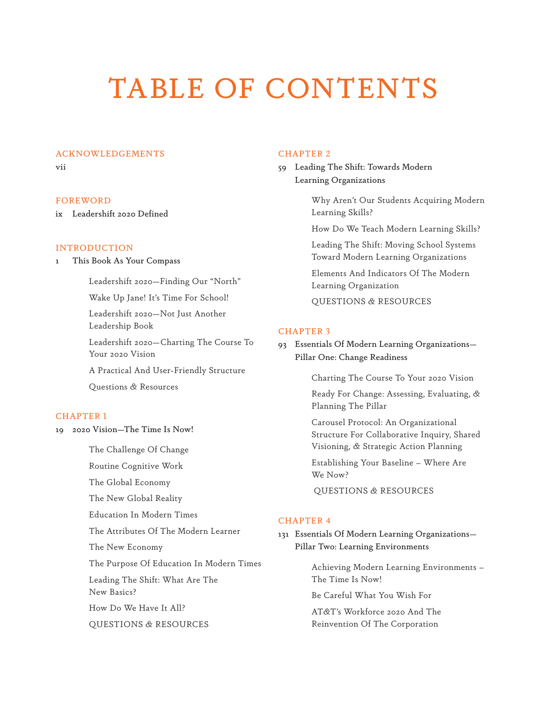## TABLE OF CONTENTS

#### ACKNOWLEDGEMENTS

vii

#### FOREWORD

ix Leadershift 2020 Defined

#### INTRODUCTION

1 This Book As Your Compass

Leadershift 2020—Finding Our "North"

Wake Up Jane! It's Time For School!

Leadershift 2020—Not Just Another Leadership Book

Leadershift 2020—Charting The Course To Your 2020 Vision

A Practical And User-Friendly Structure

Questions & Resources

#### CHAPTER 1

19 2020 Vision—The Time Is Now!

The Challenge Of Change

Routine Cognitive Work

The Global Economy

The New Global Reality

Education In Modern Times

The Attributes Of The Modern Learner

The New Economy

The Purpose Of Education In Modern Times

Leading The Shift: What Are The New Basics?

How Do We Have It All?

QUESTIONS & RESOURCES

#### CHAPTER 2

59 Leading The Shift: Towards Modern Learning Organizations

> Why Aren't Our Students Acquiring Modern Learning Skills?

How Do We Teach Modern Learning Skills?

Leading The Shift: Moving School Systems Toward Modern Learning Organizations

Elements And Indicators Of The Modern Learning Organization

QUESTIONS & RESOURCES

#### CHAPTER 3

93 Essentials Of Modern Learning Organizations— Pillar One: Change Readiness

Charting The Course To Your 2020 Vision

Ready For Change: Assessing, Evaluating, & Planning The Pillar

Carousel Protocol: An Organizational Structure For Collaborative Inquiry, Shared Visioning, & Strategic Action Planning

Establishing Your Baseline – Where Are We Now?

QUESTIONS & RESOURCES

#### CHAPTER 4

131 Essentials Of Modern Learning Organizations— Pillar Two: Learning Environments

> Achieving Modern Learning Environments – The Time Is Now!

Be Careful What You Wish For

AT&T's Workforce 2020 And The Reinvention Of The Corporation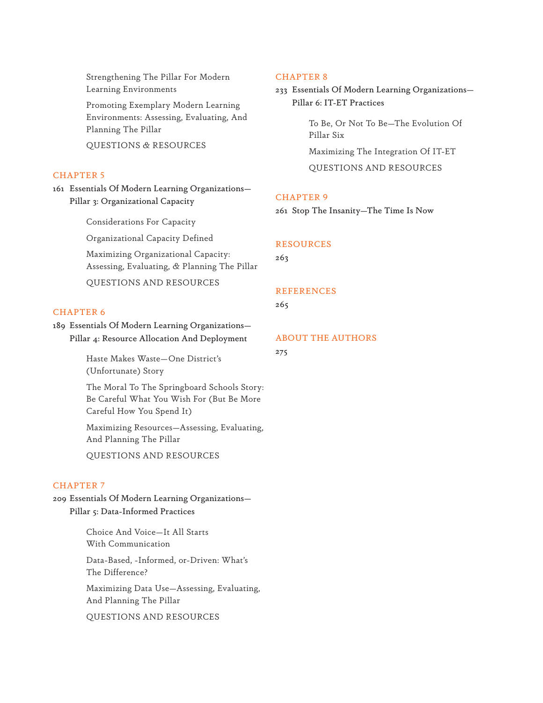Strengthening The Pillar For Modern Learning Environments

Promoting Exemplary Modern Learning Environments: Assessing, Evaluating, And Planning The Pillar

QUESTIONS & RESOURCES

#### CHAPTER 5

161 Essentials Of Modern Learning Organizations— Pillar 3: Organizational Capacity

Considerations For Capacity

Organizational Capacity Defined

Maximizing Organizational Capacity: Assessing, Evaluating, & Planning The Pillar

QUESTIONS AND RESOURCES

#### CHAPTER 6

189 Essentials Of Modern Learning Organizations— Pillar 4: Resource Allocation And Deployment

> Haste Makes Waste—One District's (Unfortunate) Story

The Moral To The Springboard Schools Story: Be Careful What You Wish For (But Be More Careful How You Spend It)

Maximizing Resources—Assessing, Evaluating, And Planning The Pillar

QUESTIONS AND RESOURCES

#### CHAPTER 7

209 Essentials Of Modern Learning Organizations— Pillar 5: Data-Informed Practices

> Choice And Voice—It All Starts With Communication Data-Based, -Informed, or-Driven: What's The Difference?

Maximizing Data Use—Assessing, Evaluating, And Planning The Pillar

QUESTIONS AND RESOURCES

#### CHAPTER 8

233 Essentials Of Modern Learning Organizations— Pillar 6: IT-ET Practices

> To Be, Or Not To Be—The Evolution Of Pillar Six Maximizing The Integration Of IT-ET

QUESTIONS AND RESOURCES

#### CHAPTER 9

261 Stop The Insanity—The Time Is Now

#### RESOURCES

263

#### **REFERENCES**

265

#### ABOUT THE AUTHORS

275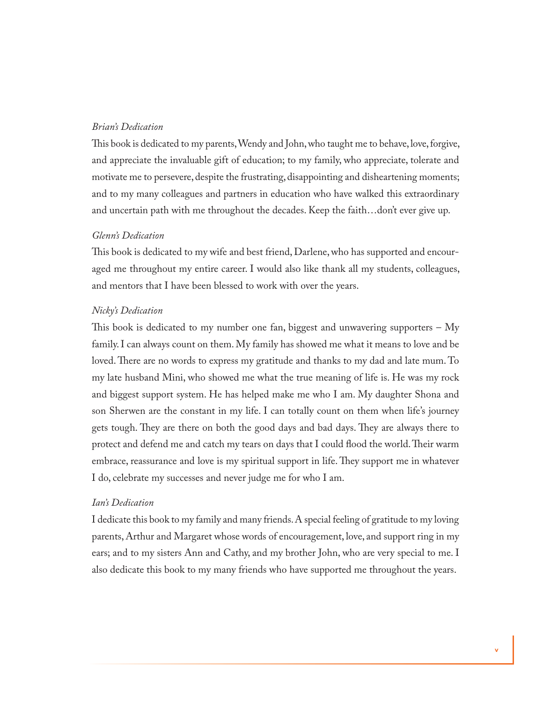#### *Brian's Dedication*

This book is dedicated to my parents, Wendy and John, who taught me to behave, love, forgive, and appreciate the invaluable gift of education; to my family, who appreciate, tolerate and motivate me to persevere, despite the frustrating, disappointing and disheartening moments; and to my many colleagues and partners in education who have walked this extraordinary and uncertain path with me throughout the decades. Keep the faith…don't ever give up.

#### *Glenn's Dedication*

This book is dedicated to my wife and best friend, Darlene, who has supported and encouraged me throughout my entire career. I would also like thank all my students, colleagues, and mentors that I have been blessed to work with over the years.

#### *Nicky's Dedication*

This book is dedicated to my number one fan, biggest and unwavering supporters  $-$  My family. I can always count on them. My family has showed me what it means to love and be loved. There are no words to express my gratitude and thanks to my dad and late mum. To my late husband Mini, who showed me what the true meaning of life is. He was my rock and biggest support system. He has helped make me who I am. My daughter Shona and son Sherwen are the constant in my life. I can totally count on them when life's journey gets tough. They are there on both the good days and bad days. They are always there to protect and defend me and catch my tears on days that I could flood the world. Their warm embrace, reassurance and love is my spiritual support in life. They support me in whatever I do, celebrate my successes and never judge me for who I am.

#### *Ian's Dedication*

I dedicate this book to my family and many friends. A special feeling of gratitude to my loving parents, Arthur and Margaret whose words of encouragement, love, and support ring in my ears; and to my sisters Ann and Cathy, and my brother John, who are very special to me. I also dedicate this book to my many friends who have supported me throughout the years.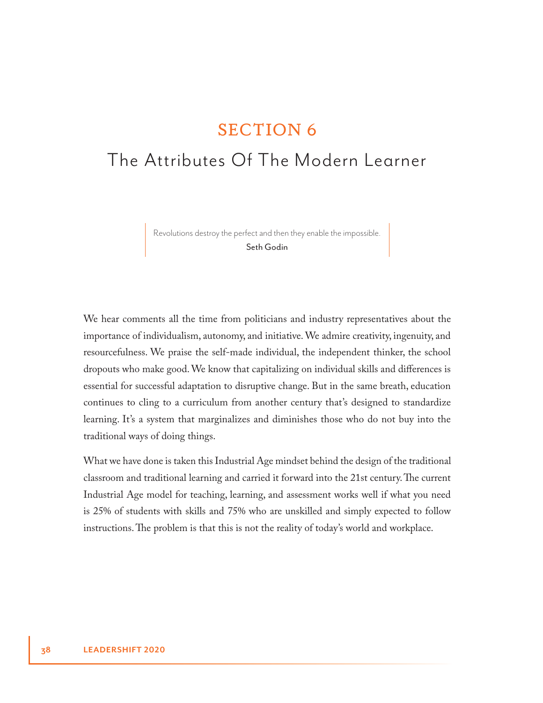### SECTION 6

## The Attributes Of The Modern Learner

Revolutions destroy the perfect and then they enable the impossible. Seth Godin

We hear comments all the time from politicians and industry representatives about the importance of individualism, autonomy, and initiative. We admire creativity, ingenuity, and resourcefulness. We praise the self-made individual, the independent thinker, the school dropouts who make good. We know that capitalizing on individual skills and differences is essential for successful adaptation to disruptive change. But in the same breath, education continues to cling to a curriculum from another century that's designed to standardize learning. It's a system that marginalizes and diminishes those who do not buy into the traditional ways of doing things.

What we have done is taken this Industrial Age mindset behind the design of the traditional classroom and traditional learning and carried it forward into the 21st century. The current Industrial Age model for teaching, learning, and assessment works well if what you need is 25% of students with skills and 75% who are unskilled and simply expected to follow instructions. The problem is that this is not the reality of today's world and workplace.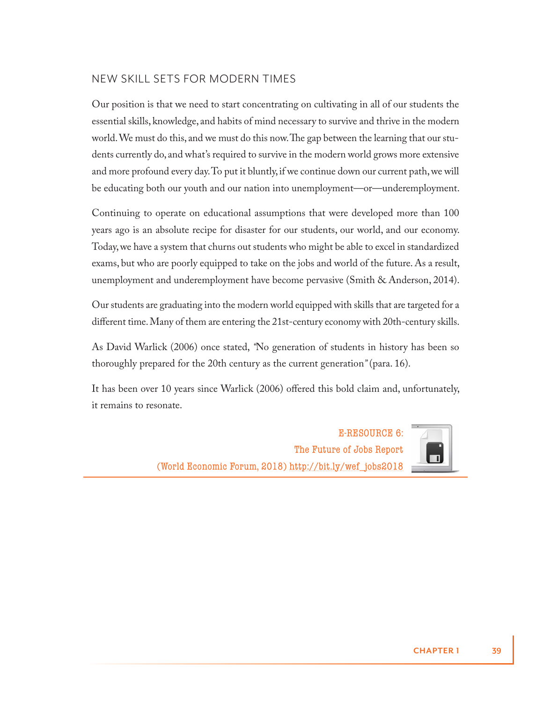#### NEW SKILL SETS FOR MODERN TIMES

Our position is that we need to start concentrating on cultivating in all of our students the essential skills, knowledge, and habits of mind necessary to survive and thrive in the modern world. We must do this, and we must do this now. The gap between the learning that our students currently do, and what's required to survive in the modern world grows more extensive and more profound every day. To put it bluntly, if we continue down our current path, we will be educating both our youth and our nation into unemployment—or—underemployment.

Continuing to operate on educational assumptions that were developed more than 100 years ago is an absolute recipe for disaster for our students, our world, and our economy. Today, we have a system that churns out students who might be able to excel in standardized exams, but who are poorly equipped to take on the jobs and world of the future. As a result, unemployment and underemployment have become pervasive (Smith & Anderson, 2014).

Our students are graduating into the modern world equipped with skills that are targeted for a different time. Many of them are entering the 21st-century economy with 20th-century skills.

As David Warlick (2006) once stated, *"*No generation of students in history has been so thoroughly prepared for the 20th century as the current generation*"* (para. 16).

It has been over 10 years since Warlick (2006) offered this bold claim and, unfortunately, it remains to resonate.

> E-RESOURCE 6: The Future of Jobs Report (World Economic Forum, 2018) http://bit.ly/wef\_jobs2018



**CHAPTER 1 39**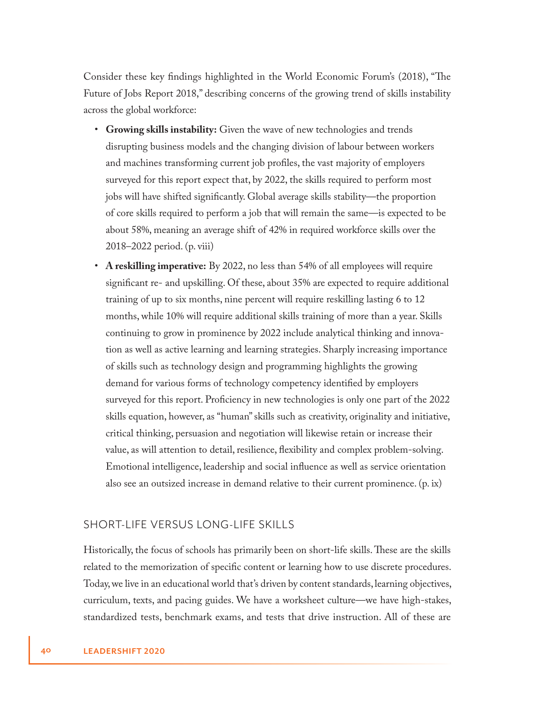Consider these key findings highlighted in the World Economic Forum's (2018), "The Future of Jobs Report 2018," describing concerns of the growing trend of skills instability across the global workforce:

- **Growing skills instability:** Given the wave of new technologies and trends disrupting business models and the changing division of labour between workers and machines transforming current job profiles, the vast majority of employers surveyed for this report expect that, by 2022, the skills required to perform most jobs will have shifted significantly. Global average skills stability—the proportion of core skills required to perform a job that will remain the same—is expected to be about 58%, meaning an average shift of 42% in required workforce skills over the 2018–2022 period. (p. viii)
- **A reskilling imperative:** By 2022, no less than 54% of all employees will require significant re- and upskilling. Of these, about 35% are expected to require additional training of up to six months, nine percent will require reskilling lasting 6 to 12 months, while 10% will require additional skills training of more than a year. Skills continuing to grow in prominence by 2022 include analytical thinking and innovation as well as active learning and learning strategies. Sharply increasing importance of skills such as technology design and programming highlights the growing demand for various forms of technology competency identified by employers surveyed for this report. Proficiency in new technologies is only one part of the 2022 skills equation, however, as "human" skills such as creativity, originality and initiative, critical thinking, persuasion and negotiation will likewise retain or increase their value, as will attention to detail, resilience, flexibility and complex problem-solving. Emotional intelligence, leadership and social influence as well as service orientation also see an outsized increase in demand relative to their current prominence. (p. ix)

#### SHORT-LIFE VERSUS LONG-LIFE SKILLS

Historically, the focus of schools has primarily been on short-life skills. These are the skills related to the memorization of specific content or learning how to use discrete procedures. Today, we live in an educational world that's driven by content standards, learning objectives, curriculum, texts, and pacing guides. We have a worksheet culture—we have high-stakes, standardized tests, benchmark exams, and tests that drive instruction. All of these are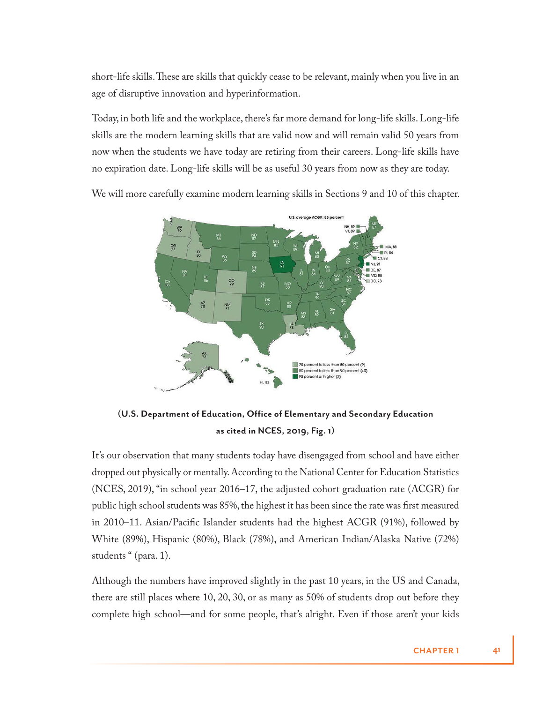short-life skills. These are skills that quickly cease to be relevant, mainly when you live in an age of disruptive innovation and hyperinformation.

Today, in both life and the workplace, there's far more demand for long-life skills. Long-life skills are the modern learning skills that are valid now and will remain valid 50 years from now when the students we have today are retiring from their careers. Long-life skills have no expiration date. Long-life skills will be as useful 30 years from now as they are today.



We will more carefully examine modern learning skills in Sections 9 and 10 of this chapter.

**(U.S. Department of Education, Office of Elementary and Secondary Education as cited in NCES, 2019, Fig. 1)**

It's our observation that many students today have disengaged from school and have either dropped out physically or mentally. According to the National Center for Education Statistics (NCES, 2019), "in school year 2016–17, the adjusted cohort graduation rate (ACGR) for public high school students was 85%, the highest it has been since the rate was first measured in 2010–11. Asian/Pacific Islander students had the highest ACGR (91%), followed by White (89%), Hispanic (80%), Black (78%), and American Indian/Alaska Native (72%) students " (para. 1).

Although the numbers have improved slightly in the past 10 years, in the US and Canada, there are still places where 10, 20, 30, or as many as 50% of students drop out before they complete high school—and for some people, that's alright. Even if those aren't your kids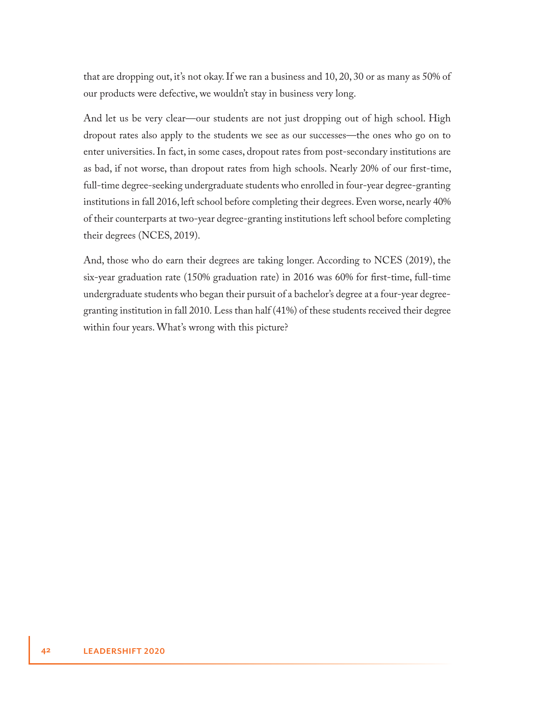that are dropping out, it's not okay. If we ran a business and 10, 20, 30 or as many as 50% of our products were defective, we wouldn't stay in business very long.

And let us be very clear—our students are not just dropping out of high school. High dropout rates also apply to the students we see as our successes—the ones who go on to enter universities. In fact, in some cases, dropout rates from post-secondary institutions are as bad, if not worse, than dropout rates from high schools. Nearly 20% of our first-time, full-time degree-seeking undergraduate students who enrolled in four-year degree-granting institutions in fall 2016, left school before completing their degrees. Even worse, nearly 40% of their counterparts at two-year degree-granting institutions left school before completing their degrees (NCES, 2019).

And, those who do earn their degrees are taking longer. According to NCES (2019), the six-year graduation rate (150% graduation rate) in 2016 was 60% for first-time, full-time undergraduate students who began their pursuit of a bachelor's degree at a four-year degreegranting institution in fall 2010. Less than half (41%) of these students received their degree within four years. What's wrong with this picture?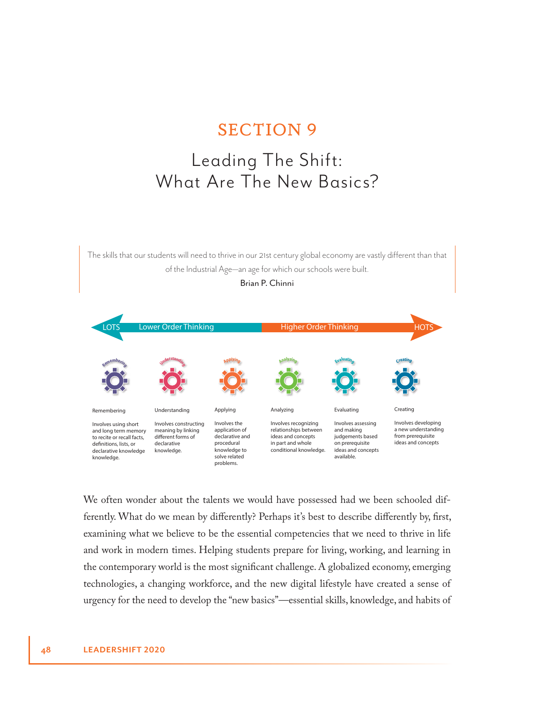## SECTION 9

## Leading The Shift: What Are The New Basics?

The skills that our students will need to thrive in our 21st century global economy are vastly different than that of the Industrial Age—an age for which our schools were built.



We often wonder about the talents we would have possessed had we been schooled differently. What do we mean by differently? Perhaps it's best to describe differently by, first, examining what we believe to be the essential competencies that we need to thrive in life and work in modern times. Helping students prepare for living, working, and learning in the contemporary world is the most significant challenge. A globalized economy, emerging technologies, a changing workforce, and the new digital lifestyle have created a sense of urgency for the need to develop the "new basics"—essential skills, knowledge, and habits of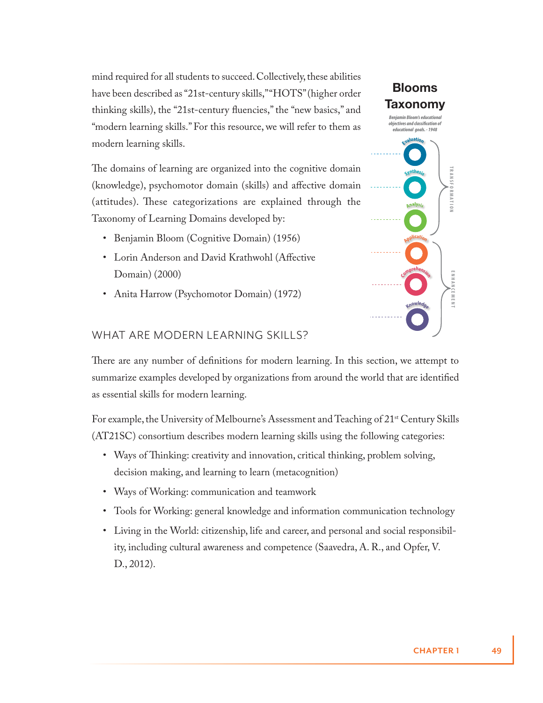mind required for all students to succeed. Collectively, these abilities have been described as "21st-century skills," "HOTS" (higher order thinking skills), the "21st-century fluencies," the "new basics," and "modern learning skills." For this resource, we will refer to them as modern learning skills.

The domains of learning are organized into the cognitive domain (knowledge), psychomotor domain (skills) and affective domain (attitudes). These categorizations are explained through the Taxonomy of Learning Domains developed by:

- Benjamin Bloom (Cognitive Domain) (1956)
- Lorin Anderson and David Krathwohl (Affective Domain) (2000)
- Anita Harrow (Psychomotor Domain) (1972)



#### WHAT ARE MODERN LEARNING SKILLS?

There are any number of definitions for modern learning. In this section, we attempt to summarize examples developed by organizations from around the world that are identified as essential skills for modern learning.

For example, the University of Melbourne's Assessment and Teaching of 21st Century Skills (AT21SC) consortium describes modern learning skills using the following categories:

- Ways of Thinking: creativity and innovation, critical thinking, problem solving, decision making, and learning to learn (metacognition)
- Ways of Working: communication and teamwork
- Tools for Working: general knowledge and information communication technology
- Living in the World: citizenship, life and career, and personal and social responsibility, including cultural awareness and competence (Saavedra, A. R., and Opfer, V. D., 2012).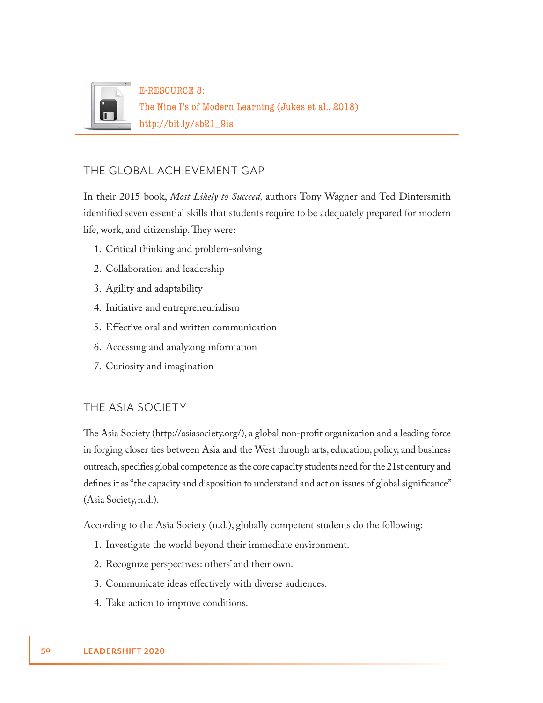

#### THE GLOBAL ACHIEVEMENT GAP

In their 2015 book, *Most Likely to Succeed,* authors Tony Wagner and Ted Dintersmith identified seven essential skills that students require to be adequately prepared for modern life, work, and citizenship. They were:

- 1. Critical thinking and problem-solving
- 2. Collaboration and leadership
- 3. Agility and adaptability
- 4. Initiative and entrepreneurialism
- 5. Effective oral and written communication
- 6. Accessing and analyzing information
- 7. Curiosity and imagination

#### THE ASIA SOCIETY

The Asia Society (http://asiasociety.org/), a global non-profit organization and a leading force in forging closer ties between Asia and the West through arts, education, policy, and business outreach, specifies global competence as the core capacity students need for the 21st century and defines it as "the capacity and disposition to understand and act on issues of global significance" (Asia Society, n.d.).

According to the Asia Society (n.d.), globally competent students do the following:

- 1. Investigate the world beyond their immediate environment.
- 2. Recognize perspectives: others' and their own.
- 3. Communicate ideas effectively with diverse audiences.
- 4. Take action to improve conditions.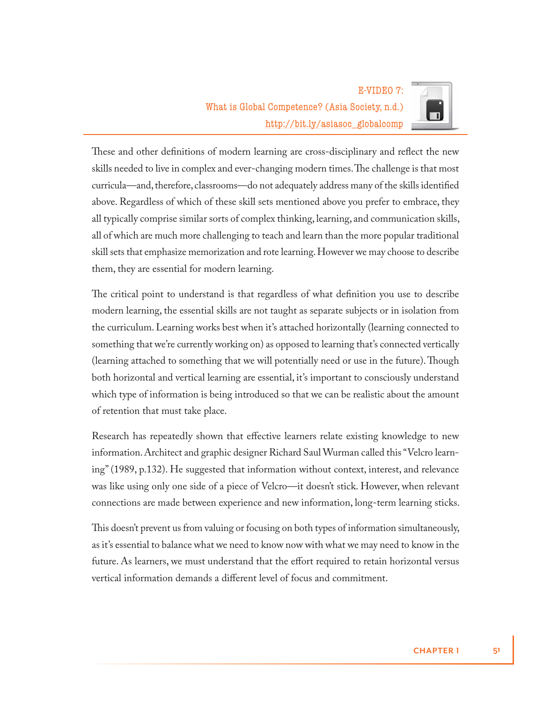

These and other definitions of modern learning are cross-disciplinary and reflect the new skills needed to live in complex and ever-changing modern times. The challenge is that most curricula—and, therefore, classrooms—do not adequately address many of the skills identified above. Regardless of which of these skill sets mentioned above you prefer to embrace, they all typically comprise similar sorts of complex thinking, learning, and communication skills, all of which are much more challenging to teach and learn than the more popular traditional skill sets that emphasize memorization and rote learning. However we may choose to describe them, they are essential for modern learning.

The critical point to understand is that regardless of what definition you use to describe modern learning, the essential skills are not taught as separate subjects or in isolation from the curriculum. Learning works best when it's attached horizontally (learning connected to something that we're currently working on) as opposed to learning that's connected vertically (learning attached to something that we will potentially need or use in the future). Though both horizontal and vertical learning are essential, it's important to consciously understand which type of information is being introduced so that we can be realistic about the amount of retention that must take place.

Research has repeatedly shown that effective learners relate existing knowledge to new information. Architect and graphic designer Richard Saul Wurman called this "Velcro learning" (1989, p.132). He suggested that information without context, interest, and relevance was like using only one side of a piece of Velcro—it doesn't stick. However, when relevant connections are made between experience and new information, long-term learning sticks.

This doesn't prevent us from valuing or focusing on both types of information simultaneously, as it's essential to balance what we need to know now with what we may need to know in the future. As learners, we must understand that the effort required to retain horizontal versus vertical information demands a different level of focus and commitment.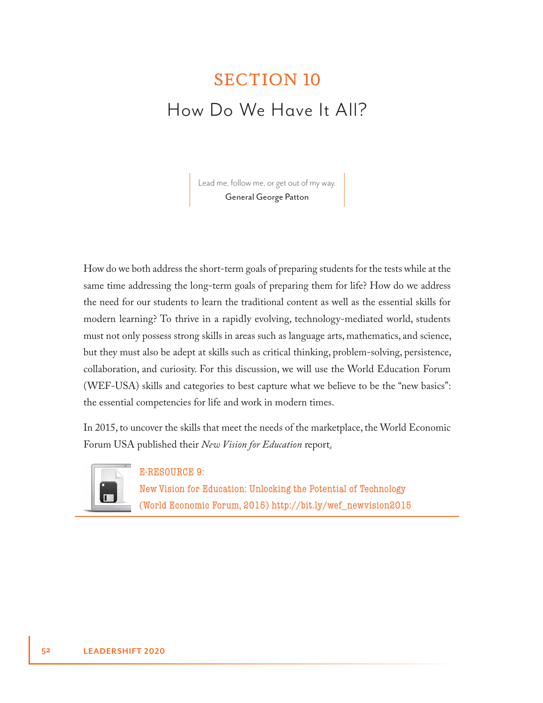## SECTION 10 How Do We Have It All?

Lead me, follow me, or get out of my way. General George Patton

How do we both address the short-term goals of preparing students for the tests while at the same time addressing the long-term goals of preparing them for life? How do we address the need for our students to learn the traditional content as well as the essential skills for modern learning? To thrive in a rapidly evolving, technology-mediated world, students must not only possess strong skills in areas such as language arts, mathematics, and science, but they must also be adept at skills such as critical thinking, problem-solving, persistence, collaboration, and curiosity. For this discussion, we will use the World Education Forum (WEF-USA) skills and categories to best capture what we believe to be the "new basics": the essential competencies for life and work in modern times.

In 2015, to uncover the skills that meet the needs of the marketplace, the World Economic Forum USA published their *New Vision for Education* report.



#### E-RESOURCE 9:

New Vision for Education: Unlocking the Potential of Technology (World Economic Forum, 2015) http://bit.ly/wef\_newvision2015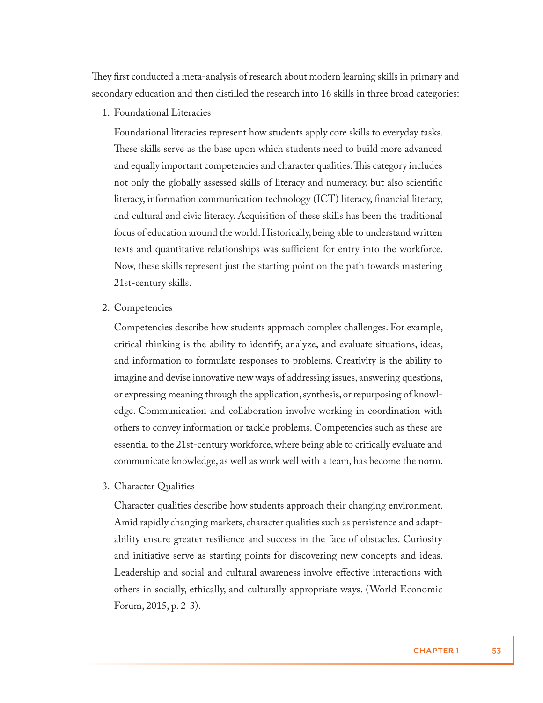They first conducted a meta-analysis of research about modern learning skills in primary and secondary education and then distilled the research into 16 skills in three broad categories:

1. Foundational Literacies

Foundational literacies represent how students apply core skills to everyday tasks. These skills serve as the base upon which students need to build more advanced and equally important competencies and character qualities. This category includes not only the globally assessed skills of literacy and numeracy, but also scientific literacy, information communication technology (ICT) literacy, financial literacy, and cultural and civic literacy. Acquisition of these skills has been the traditional focus of education around the world. Historically, being able to understand written texts and quantitative relationships was sufficient for entry into the workforce. Now, these skills represent just the starting point on the path towards mastering 21st-century skills.

2. Competencies

Competencies describe how students approach complex challenges. For example, critical thinking is the ability to identify, analyze, and evaluate situations, ideas, and information to formulate responses to problems. Creativity is the ability to imagine and devise innovative new ways of addressing issues, answering questions, or expressing meaning through the application, synthesis, or repurposing of knowledge. Communication and collaboration involve working in coordination with others to convey information or tackle problems. Competencies such as these are essential to the 21st-century workforce, where being able to critically evaluate and communicate knowledge, as well as work well with a team, has become the norm.

3. Character Qualities

Character qualities describe how students approach their changing environment. Amid rapidly changing markets, character qualities such as persistence and adaptability ensure greater resilience and success in the face of obstacles. Curiosity and initiative serve as starting points for discovering new concepts and ideas. Leadership and social and cultural awareness involve effective interactions with others in socially, ethically, and culturally appropriate ways. (World Economic Forum, 2015, p. 2-3).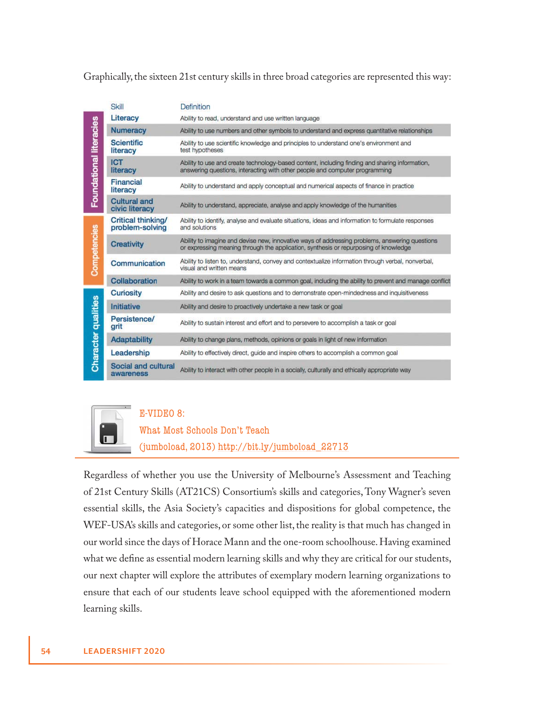Graphically, the sixteen 21st century skills in three broad categories are represented this way:

|                            | Skill                                 | Definition                                                                                                                                                                             |
|----------------------------|---------------------------------------|----------------------------------------------------------------------------------------------------------------------------------------------------------------------------------------|
| Foundational literacies    | Literacy                              | Ability to read, understand and use written language                                                                                                                                   |
|                            | <b>Numeracy</b>                       | Ability to use numbers and other symbols to understand and express quantitative relationships                                                                                          |
|                            | <b>Scientific</b><br>literacy         | Ability to use scientific knowledge and principles to understand one's environment and<br>test hypotheses                                                                              |
|                            | <b>ICT</b><br>literacy                | Ability to use and create technology-based content, including finding and sharing information,<br>answering questions, interacting with other people and computer programming          |
|                            | Financial<br>literacy                 | Ability to understand and apply conceptual and numerical aspects of finance in practice                                                                                                |
|                            | <b>Cultural and</b><br>civic literacy | Ability to understand, appreciate, analyse and apply knowledge of the humanities                                                                                                       |
| Competencies               | Critical thinking/<br>problem-solving | Ability to identify, analyse and evaluate situations, ideas and information to formulate responses<br>and solutions                                                                    |
|                            | <b>Creativity</b>                     | Ability to imagine and devise new, innovative ways of addressing problems, answering questions<br>or expressing meaning through the application, synthesis or repurposing of knowledge |
|                            | Communication                         | Ability to listen to, understand, convey and contextualize information through verbal, nonverbal,<br>visual and written means                                                          |
|                            | Collaboration                         | Ability to work in a team towards a common goal, including the ability to prevent and manage conflict                                                                                  |
| <b>Character qualities</b> | <b>Curiosity</b>                      | Ability and desire to ask questions and to demonstrate open-mindedness and inquisitiveness                                                                                             |
|                            | Initiative                            | Ability and desire to proactively undertake a new task or goal                                                                                                                         |
|                            | Persistence/<br>grit                  | Ability to sustain interest and effort and to persevere to accomplish a task or goal                                                                                                   |
|                            | <b>Adaptability</b>                   | Ability to change plans, methods, opinions or goals in light of new information                                                                                                        |
|                            | Leadership                            | Ability to effectively direct, guide and inspire others to accomplish a common goal                                                                                                    |
|                            | Social and cultural<br>awareness      | Ability to interact with other people in a socially, culturally and ethically appropriate way                                                                                          |



#### E-VIDEO 8:

What Most Schools Don't Teach

(jumboload, 2013) http://bit.ly/jumboload\_22713

Regardless of whether you use the University of Melbourne's Assessment and Teaching of 21st Century Skills (AT21CS) Consortium's skills and categories, Tony Wagner's seven essential skills, the Asia Society's capacities and dispositions for global competence, the WEF-USA's skills and categories, or some other list, the reality is that much has changed in our world since the days of Horace Mann and the one-room schoolhouse. Having examined what we define as essential modern learning skills and why they are critical for our students, our next chapter will explore the attributes of exemplary modern learning organizations to ensure that each of our students leave school equipped with the aforementioned modern learning skills.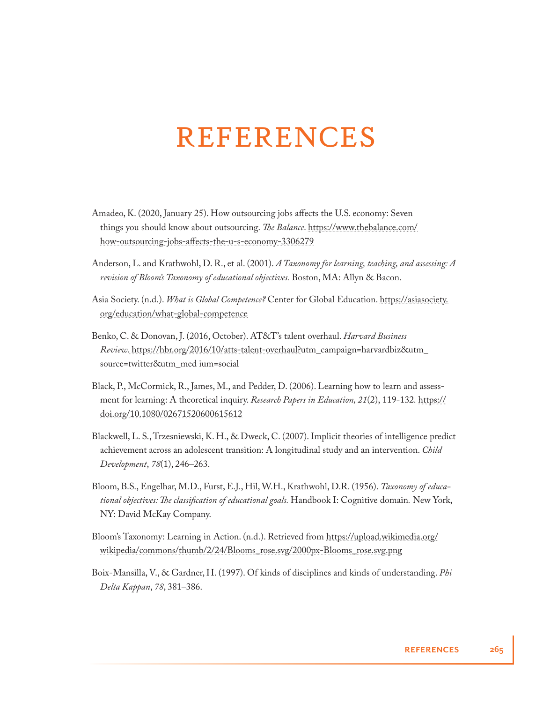## REFERENCES

- Amadeo, K. (2020, January 25). How outsourcing jobs affects the U.S. economy: Seven things you should know about outsourcing. *The Balance*. https://www.thebalance.com/ how-outsourcing-jobs-affects-the-u-s-economy-3306279
- Anderson, L. and Krathwohl, D. R., et al. (2001). *A Taxonomy for learning, teaching, and assessing: A revision of Bloom's Taxonomy of educational objectives.* Boston, MA: Allyn & Bacon.
- Asia Society. (n.d.). *What is Global Competence?* Center for Global Education. https://asiasociety. org/education/what-global-competence
- Benko, C. & Donovan, J. (2016, October). AT&T's talent overhaul. *Harvard Business Review*. https://hbr.org/2016/10/atts-talent-overhaul?utm\_campaign=harvardbiz&utm\_ source=twitter&utm\_med ium=social
- Black, P., McCormick, R., James, M., and Pedder, D. (2006). Learning how to learn and assessment for learning: A theoretical inquiry. *Research Papers in Education, 21*(2), 119-132*.* https:// doi.org/10.1080/02671520600615612
- Blackwell, L. S., Trzesniewski, K. H., & Dweck, C. (2007). Implicit theories of intelligence predict achievement across an adolescent transition: A longitudinal study and an intervention. *Child Development*, *78*(1), 246–263.
- Bloom, B.S., Engelhar, M.D., Furst, E.J., Hil, W.H., Krathwohl, D.R. (1956). *Taxonomy of educational objectives: The classification of educational goals.* Handbook I: Cognitive domain. New York, NY: David McKay Company.
- Bloom's Taxonomy: Learning in Action. (n.d.). Retrieved from https://upload.wikimedia.org/ wikipedia/commons/thumb/2/24/Blooms\_rose.svg/2000px-Blooms\_rose.svg.png
- Boix-Mansilla, V., & Gardner, H. (1997). Of kinds of disciplines and kinds of understanding. *Phi Delta Kappan*, *78*, 381–386.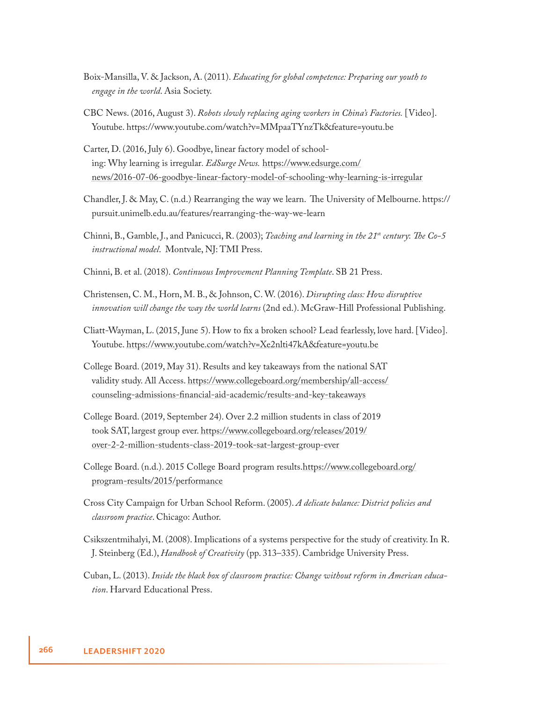- Boix-Mansilla, V. & Jackson, A. (2011). *Educating for global competence: Preparing our youth to engage in the world*. Asia Society.
- CBC News. (2016, August 3). *Robots slowly replacing aging workers in China's Factories.* [Video]. Youtube. https://www.youtube.com/watch?v=MMpaaTYnzTk&feature=youtu.be
- Carter, D. (2016, July 6). Goodbye, linear factory model of schooling: Why learning is irregular*. EdSurge News.* https://www.edsurge.com/ news/2016-07-06-goodbye-linear-factory-model-of-schooling-why-learning-is-irregular
- Chandler, J. & May, C. (n.d.) Rearranging the way we learn. The University of Melbourne. https:// pursuit.unimelb.edu.au/features/rearranging-the-way-we-learn
- Chinni, B., Gamble, J., and Panicucci, R. (2003); *Teaching and learning in the 21<sup>st</sup> century: The Co-5 instructional model*. Montvale, NJ: TMI Press.
- Chinni, B. et al. (2018). *Continuous Improvement Planning Template*. SB 21 Press.
- Christensen, C. M., Horn, M. B., & Johnson, C. W. (2016). *Disrupting class: How disruptive innovation will change the way the world learns* (2nd ed.). McGraw-Hill Professional Publishing.
- Cliatt-Wayman, L. (2015, June 5). How to fix a broken school? Lead fearlessly, love hard. [Video]. Youtube. https://www.youtube.com/watch?v=Xe2nlti47kA&feature=youtu.be
- College Board. (2019, May 31). Results and key takeaways from the national SAT validity study. All Access. https://www.collegeboard.org/membership/all-access/ counseling-admissions-financial-aid-academic/results-and-key-takeaways
- College Board. (2019, September 24). Over 2.2 million students in class of 2019 took SAT, largest group ever. https://www.collegeboard.org/releases/2019/ over-2-2-million-students-class-2019-took-sat-largest-group-ever
- College Board. (n.d.). 2015 College Board program results.https://www.collegeboard.org/ program-results/2015/performance
- Cross City Campaign for Urban School Reform. (2005). *A delicate balance: District policies and classroom practice*. Chicago: Author.
- Csikszentmihalyi, M. (2008). Implications of a systems perspective for the study of creativity. In R. J. Steinberg (Ed.), *Handbook of Creativity* (pp. 313–335). Cambridge University Press.
- Cuban, L. (2013). *Inside the black box of classroom practice: Change without reform in American education*. Harvard Educational Press.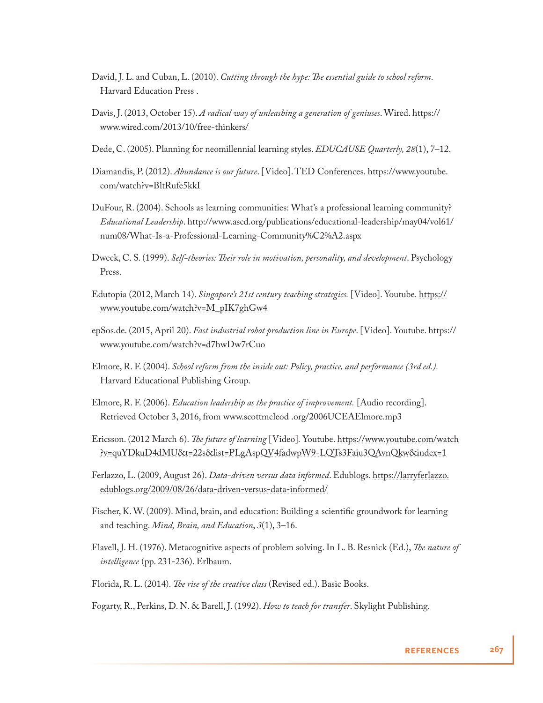- David, J. L. and Cuban, L. (2010). *Cutting through the hype: The essential guide to school reform.* Harvard Education Press .
- Davis, J. (2013, October 15). *A radical way of unleashing a generation of geniuses*. Wired. https:// www.wired.com/2013/10/free-thinkers/
- Dede, C. (2005). Planning for neomillennial learning styles. *EDUCAUSE Quarterly, 28*(1), 7–12.
- Diamandis, P. (2012). *Abundance is our future*. [Video]. TED Conferences. https://www.youtube. com/watch?v=BltRufe5kkI
- DuFour, R. (2004). Schools as learning communities: What's a professional learning community? *Educational Leadership*. http://www.ascd.org/publications/educational-leadership/may04/vol61/ num08/What-Is-a-Professional-Learning-Community%C2%A2.aspx
- Dweck, C. S. (1999). *Self-theories: Their role in motivation, personality, and development*. Psychology Press.
- Edutopia (2012, March 14). *Singapore's 21st century teaching strategies.* [Video]. Youtube*.* https:// www.youtube.com/watch?v=M\_pIK7ghGw4
- epSos.de. (2015, April 20). *Fast industrial robot production line in Europe*. [Video]. Youtube. https:// www.youtube.com/watch?v=d7hwDw7rCuo
- Elmore, R. F. (2004). *School reform from the inside out: Policy, practice, and performance (3rd ed.).* Harvard Educational Publishing Group.
- Elmore, R. F. (2006). *Education leadership as the practice of improvement.* [Audio recording]. Retrieved October 3, 2016, from www.scottmcleod .org/2006UCEAElmore.mp3
- Ericsson. (2012 March 6). *The future of learning* [Video]. Youtube. https://www.youtube.com/watch ?v=quYDkuD4dMU&t=22s&list=PLgAspQV4fadwpW9-LQTs3Faiu3QAvnQkw&index=1
- Ferlazzo, L. (2009, August 26). *Data-driven versus data informed*. Edublogs. https://larryferlazzo. edublogs.org/2009/08/26/data-driven-versus-data-informed/
- Fischer, K. W. (2009). Mind, brain, and education: Building a scientific groundwork for learning and teaching. *Mind, Brain, and Education*, *3*(1), 3–16.
- Flavell, J. H. (1976). Metacognitive aspects of problem solving. In L. B. Resnick (Ed.), *The nature of intelligence* (pp. 231-236). Erlbaum.
- Florida, R. L. (2014). *The rise of the creative class* (Revised ed.). Basic Books.

Fogarty, R., Perkins, D. N. & Barell, J. (1992). *How to teach for transfer*. Skylight Publishing.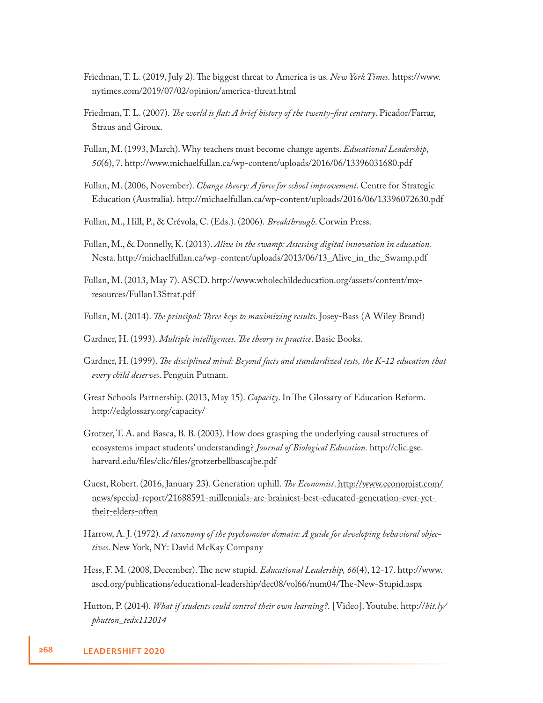- Friedman, T. L. (2019, July 2). Th e biggest threat to America is us*. New York Times.* https://www. nytimes.com/2019/07/02/opinion/america-threat.html
- Friedman, T. L. (2007). *The world is flat: A brief history of the twenty-first century*. Picador/Farrar, Straus and Giroux.
- Fullan, M. (1993, March). Why teachers must become change agents. *Educational Leadership*, *50*(6), 7. http://www.michaelfullan.ca/wp-content/uploads/2016/06/13396031680.pdf
- Fullan, M. (2006, November). *Change theory: A force for school improvement*. Centre for Strategic Education (Australia). http://michaelfullan.ca/wp-content/uploads/2016/06/13396072630.pdf
- Fullan, M., Hill, P., & Crévola, C. (Eds.). (2006). *Breakthrough*. Corwin Press.
- Fullan, M., & Donnelly, K. (2013). *Alive in the swamp: Assessing digital innovation in education.* Nesta. http://michaelfullan.ca/wp-content/uploads/2013/06/13\_Alive\_in\_the\_Swamp.pdf
- Fullan, M. (2013, May 7). ASCD. http://www.wholechildeducation.org/assets/content/mxresources/Fullan13Strat.pdf
- Fullan, M. (2014). *The principal: Three keys to maximizing results*. Josey-Bass (A Wiley Brand)
- Gardner, H. (1993). *Multiple intelligences. The theory in practice*. Basic Books.
- Gardner, H. (1999). *The disciplined mind: Beyond facts and standardized tests, the K-12 education that every child deserves*. Penguin Putnam.
- Great Schools Partnership. (2013, May 15). *Capacity*. In The Glossary of Education Reform. http://edglossary.org/capacity/
- Grotzer, T. A. and Basca, B. B. (2003). How does grasping the underlying causal structures of ecosystems impact students' understanding? *Journal of Biological Education.* http://clic.gse. harvard.edu/files/clic/files/grotzerbellbascajbe.pdf
- Guest, Robert. (2016, January 23). Generation uphill. *The Economist*. http://www.economist.com/ news/special-report/21688591-millennials-are-brainiest-best-educated-generation-ever-yettheir-elders-often
- Harrow, A. J. (1972). *A taxonomy of the psychomotor domain: A guide for developing behavioral objectives*. New York, NY: David McKay Company
- Hess, F. M. (2008, December). The new stupid. *Educational Leadership*, 66(4), 12-17. http://www. ascd.org/publications/educational-leadership/dec08/vol66/num04/The-New-Stupid.aspx
- Hutton, P. (2014). *What if students could control their own learning?.* [Video]. Youtube. http://*bit.ly/ phutton\_tedx112014*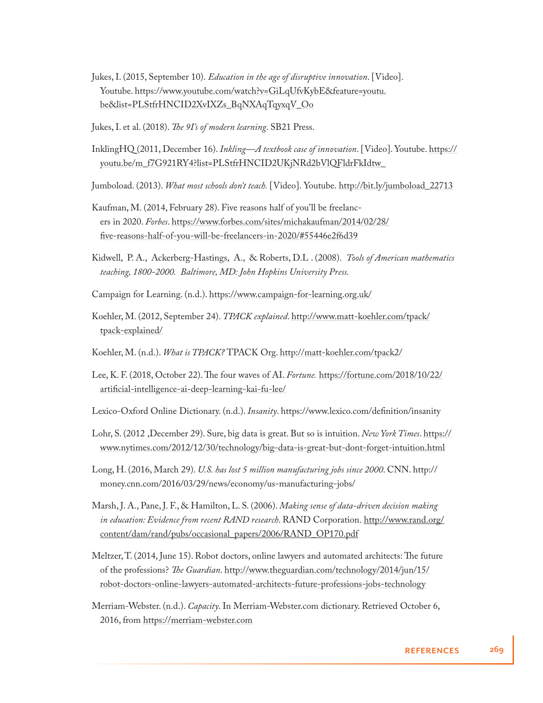- Jukes, I. (2015, September 10). *Education in the age of disruptive innovation*. [Video]. Youtube. https://ww<u>w.youtube.com/watch?v=GiLqUfvKybE&feature=youtu.</u> be&list=PLStfrHNCID2XvIXZs\_BqNXAqTqyxqV\_Oo
- Jukes, I. et al. (2018). *The 9I's of modern learning*. SB21 Press.
- InklingHQ (2011, December 16). *Inkling—A textbook case of innovation*. [Video]. Youtube. https:// youtu.be/m\_f7G921RY4?list=PLStfrHNCID2UKjNRd2bVlQFldrFkIdtw\_
- Jumboload. (2013). *What most schools don't teach.* [Video]. Youtube. http://bit.ly/jumboload\_22713
- Kaufman, M. (2014, February 28). Five reasons half of you'll be freelancers in 2020. *Forbes*. https://www.forbes.com/sites/michakaufman/2014/02/28/ five-reasons-half-of-you-will-be-freelancers-in-2020/#55446e2f6d39
- Kidwell, P. A., Ackerberg-Hastings, A., & Roberts, D.L . (2008). *Tools of American mathematics teaching, 1800-2000. Baltimore, MD: John Hopkins University Press.*
- Campaign for Learning. (n.d.). https://www.campaign-for-learning.org.uk/
- Koehler, M. (2012, September 24). *TPACK explained*. http://www.matt-koehler.com/tpack/ tpack-explained/
- Koehler, M. (n.d.). *What is TPACK?* TPACK Org. http://matt-koehler.com/tpack2/
- Lee, K. F. (2018, October 22). The four waves of AI. *Fortune*. https://fortune.com/2018/10/22/ artificial-intelligence-ai-deep-learning-kai-fu-lee/
- Lexico-Oxford Online Dictionary. (n.d.). *Insanity*. https://www.lexico.com/definition/insanity
- Lohr, S. (2012 ,December 29). Sure, big data is great. But so is intuition. *New York Times*. https:// www.nytimes.com/2012/12/30/technology/big-data-is-great-but-dont-forget-intuition.html
- Long, H. (2016, March 29). *U.S. has lost 5 million manufacturing jobs since 2000*. CNN. http:// money.cnn.com/2016/03/29/news/economy/us-manufacturing-jobs/
- Marsh, J. A., Pane, J. F., & Hamilton, L. S. (2006). *Making sense of data-driven decision making in education: Evidence from recent RAND research*. RAND Corporation. http://www.rand.org/ content/dam/rand/pubs/occasional\_papers/2006/RAND\_OP170.pdf
- Meltzer, T. (2014, June 15). Robot doctors, online lawyers and automated architects: The future of the professions? *The Guardian*. http://www.theguardian.com/technology/2014/jun/15/ robot-doctors-online-lawyers-automated-architects-future-professions-jobs-technology
- Merriam-Webster. (n.d.). *Capacity*. In Merriam-Webster.com dictionary. Retrieved October 6, 2016, from https://merriam-webster.com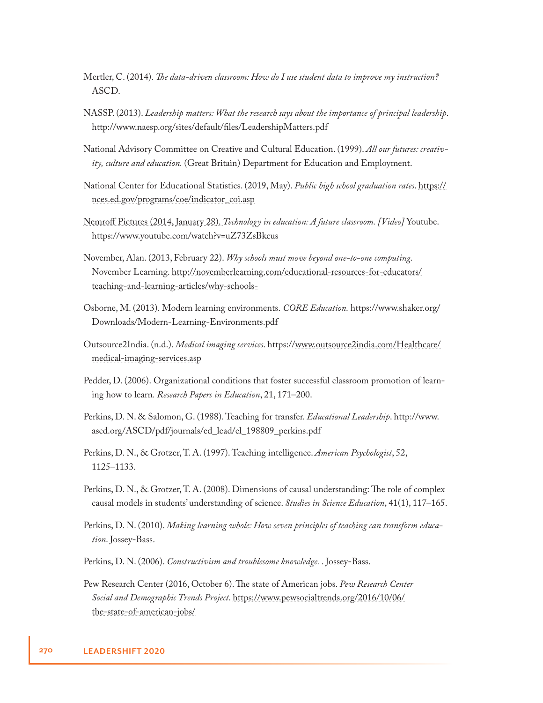- Mertler, C. (2014). *The data-driven classroom: How do I use student data to improve my instruction?* ASCD.
- NASSP. (2013). *Leadership matters: What the research says about the importance of principal leadership*. http://www.naesp.org/sites/default/files/LeadershipMatters.pdf
- National Advisory Committee on Creative and Cultural Education. (1999). *All our futures: creativity, culture and education.* (Great Britain) Department for Education and Employment.
- National Center for Educational Statistics. (2019, May). *Public high school graduation rates*. https:// nces.ed.gov/programs/coe/indicator\_coi.asp
- Nemroff Pictures (2014, January 28). *Technology in education: A future classroom. [Video]* Youtube. https://www.youtube.com/watch?v=uZ73ZsBkcus
- November, Alan. (2013, February 22). *Why schools must move beyond one-to-one computing.* November Learning. http://novemberlearning.com/educational-resources-for-educators/ teaching-and-learning-articles/why-schools-
- Osborne, M. (2013). Modern learning environments. *CORE Education.* https://www.shaker.org/ Downloads/Modern-Learning-Environments.pdf
- Outsource2India. (n.d.). *Medical imaging services*. https://www.outsource2india.com/Healthcare/ medical-imaging-services.asp
- Pedder, D. (2006). Organizational conditions that foster successful classroom promotion of learning how to learn*. Research Papers in Education*, 21, 171–200.
- Perkins, D. N. & Salomon, G. (1988). Teaching for transfer. *Educational Leadership*. http://www. ascd.org/ASCD/pdf/journals/ed\_lead/el\_198809\_perkins.pdf
- Perkins, D. N., & Grotzer, T. A. (1997). Teaching intelligence. *American Psychologist*, 52, 1125–1133.
- Perkins, D. N., & Grotzer, T. A. (2008). Dimensions of causal understanding: The role of complex causal models in students' understanding of science. *Studies in Science Education*, 41(1), 117–165.
- Perkins, D. N. (2010). *Making learning whole: How seven principles of teaching can transform education*. Jossey-Bass.
- Perkins, D. N. (2006). *Constructivism and troublesome knowledge.* . Jossey-Bass.
- Pew Research Center (2016, October 6). The state of American jobs. *Pew Research Center Social and Demographic Trends Project*. https://www.pewsocialtrends.org/2016/10/06/ the-state-of-american-jobs/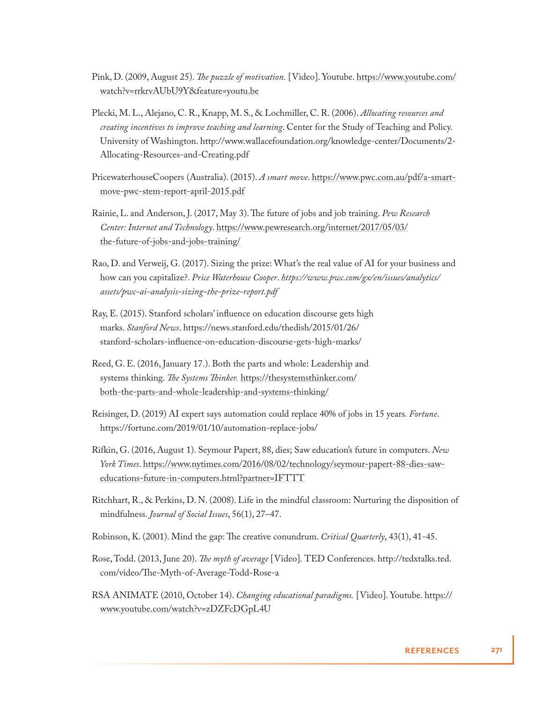- Pink, D. (2009, August 25). *The puzzle of motivation*. [Video]. Youtube. https://www.youtube.com/ watch?v=rrkrvAUbU9Y&feature=youtu.be
- Plecki, M. L., Alejano, C. R., Knapp, M. S., & Lochmiller, C. R. (2006). *Allocating resources and creating incentives to improve teaching and learning*. Center for the Study of Teaching and Policy. University of Washington. http://www.wallacefoundation.org/knowledge-center/Documents/2- Allocating-Resources-and-Creating.pdf
- PricewaterhouseCoopers (Australia). (2015). *A smart move*. https://www.pwc.com.au/pdf/a-smartmove-pwc-stem-report-april-2015.pdf
- Rainie, L. and Anderson, J. (2017, May 3). The future of jobs and job training. *Pew Research Center: Internet and Technology*. https://www.pewresearch.org/internet/2017/05/03/ the-future-of-jobs-and-jobs-training/
- Rao, D. and Verweij, G. (2017). Sizing the prize: What's the real value of AI for your business and how can you capitalize?. *Price Waterhouse Cooper*. *https://www.pwc.com/gx/en/issues/analytics/ assets/pwc-ai-analysis-sizing-the-prize-report.pdf*
- Ray, E. (2015). Stanford scholars' influence on education discourse gets high marks. *Stanford News*. https://news.stanford.edu/thedish/2015/01/26/ stanford-scholars-influence-on-education-discourse-gets-high-marks/
- Reed, G. E. (2016, January 17.). Both the parts and whole: Leadership and systems thinking. *The Systems Thinker*. https://thesystemsthinker.com/ both-the-parts-and-whole-leadership-and-systems-thinking/
- Reisinger, D. (2019) AI expert says automation could replace 40% of jobs in 15 years*. Fortune*. https://fortune.com/2019/01/10/automation-replace-jobs/
- Rifkin, G. (2016, August 1). Seymour Papert, 88, dies; Saw education's future in computers. *New York Times*. https://www.nytimes.com/2016/08/02/technology/seymour-papert-88-dies-saweducations-future-in-computers.html?partner=IFTTT
- Ritchhart, R., & Perkins, D. N. (2008). Life in the mindful classroom: Nurturing the disposition of mindfulness. *Journal of Social Issues*, 56(1), 27–47.
- Robinson, K. (2001). Mind the gap: The creative conundrum. *Critical Quarterly*, 43(1), 41-45.
- Rose, Todd. (2013, June 20). *The myth of average* [Video]. TED Conferences. http://tedxtalks.ted. com/video/The-Myth-of-Average-Todd-Rose-a
- RSA ANIMATE (2010, October 14). *Changing educational paradigms.* [Video]. Youtube. https:// www.youtube.com/watch?v=zDZFcDGpL4U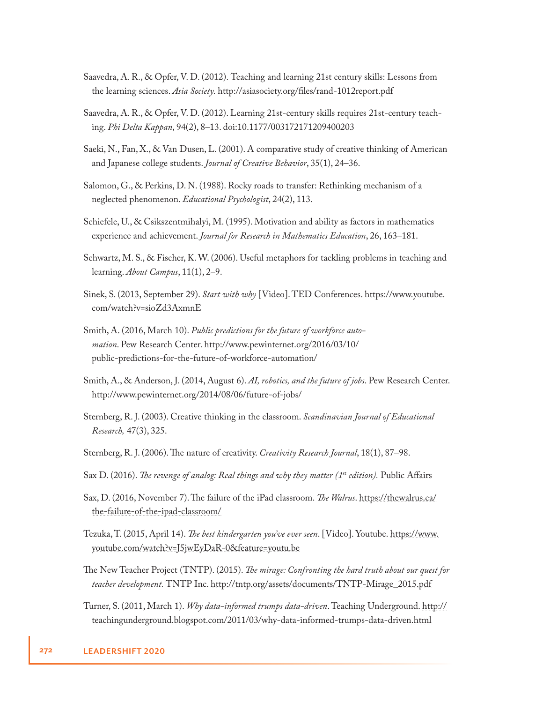- Saavedra, A. R., & Opfer, V. D. (2012). Teaching and learning 21st century skills: Lessons from the learning sciences. *Asia Society*. http://asiasociety.org/files/rand-1012report.pdf
- Saavedra, A. R., & Opfer, V. D. (2012). Learning 21st-century skills requires 21st-century teaching. *Phi Delta Kappan*, 94(2), 8–13. doi:10.1177/003172171209400203
- Saeki, N., Fan, X., & Van Dusen, L. (2001). A comparative study of creative thinking of American and Japanese college students. *Journal of Creative Behavior*, 35(1), 24–36.
- Salomon, G., & Perkins, D. N. (1988). Rocky roads to transfer: Rethinking mechanism of a neglected phenomenon. *Educational Psychologist*, 24(2), 113.
- Schiefele, U., & Csikszentmihalyi, M. (1995). Motivation and ability as factors in mathematics experience and achievement. *Journal for Research in Mathematics Education*, 26, 163–181.
- Schwartz, M. S., & Fischer, K. W. (2006). Useful metaphors for tackling problems in teaching and learning. *About Campus*, 11(1), 2–9.
- Sinek, S. (2013, September 29). *Start with why* [Video]. TED Conferences. https://www.youtube. com/watch?v=sioZd3AxmnE
- Smith, A. (2016, March 10). *Public predictions for the future of workforce automation*. Pew Research Center. http://www.pewinternet.org/2016/03/10/ public-predictions-for-the-future-of-workforce-automation/
- Smith, A., & Anderson, J. (2014, August 6). *AI, robotics, and the future of jobs*. Pew Research Center. http://www.pewinternet.org/2014/08/06/future-of-jobs/
- Sternberg, R. J. (2003). Creative thinking in the classroom. *Scandinavian Journal of Educational Research,* 47(3), 325.
- Sternberg, R. J. (2006). The nature of creativity. *Creativity Research Journal*, 18(1), 87–98.
- Sax D. (2016). *The revenge of analog: Real things and why they matter (1<sup>st</sup> edition)*. Public Affairs
- Sax, D. (2016, November 7). The failure of the iPad classroom. *The Walrus*. https://thewalrus.ca/ the-failure-of-the-ipad-classroom/
- Tezuka, T. (2015, April 14). *Th e best kindergarten you've ever seen*. [Video]. Youtube. https://www. youtube.com/watch?v=J5jwEyDaR-0&feature=youtu.be
- The New Teacher Project (TNTP). (2015). *The mirage: Confronting the hard truth about our quest for teacher development.* TNTP Inc. http://tntp.org/assets/documents/TNTP-Mirage\_2015.pdf
- Turner, S. (2011, March 1). *Why data-informed trumps data-driven*. Teaching Underground. http:// teachingunderground.blogspot.com/2011/03/why-data-informed-trumps-data-driven.html